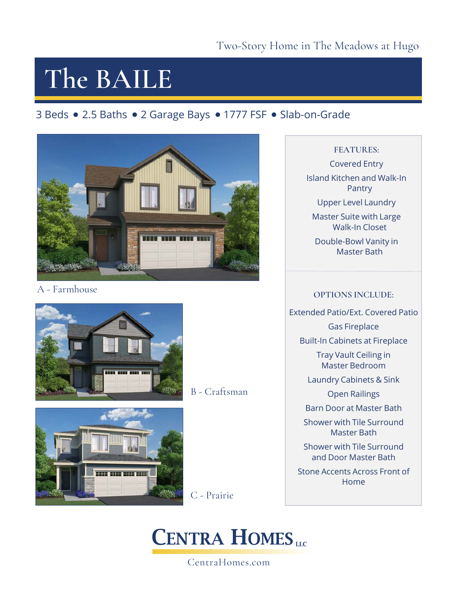# **The BAILE**

### 3 Beds • 2.5 Baths • 2 Garage Bays • 1777 FSF • Slab-on-Grade



A - Farmhouse



B - Craftsman



C - Prairie

## **CENTRA HOMES**

#### CentraHomes.com

#### **FEATURES:**

Covered Entry Island Kitchen and Walk-In Pantry Upper Level Laundry

Master Suite with Large Walk-In Closet

Double-Bowl Vanity in Master Bath

#### **OPTIONS INCLUDE:**

Extended Patio/Ext. Covered Patio

Gas Fireplace

Built-In Cabinets at Fireplace

Tray Vault Ceiling in Master Bedroom

Laundry Cabinets & Sink

Open Railings

Barn Door at Master Bath

Shower with Tile Surround Master Bath

Shower with Tile Surround and Door Master Bath

Stone Accents Across Front of Home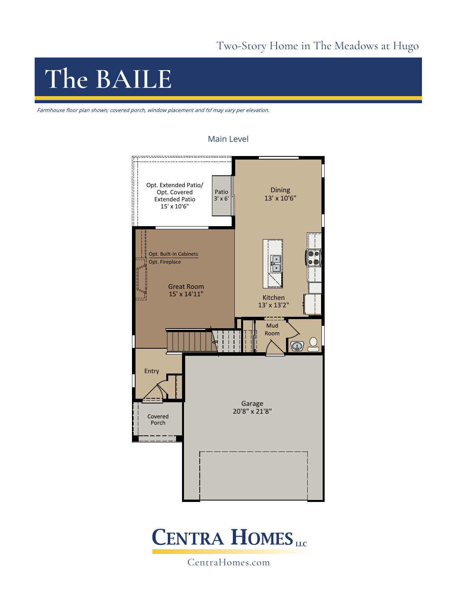### Two-Story Home in The Meadows at Hugo

## **The BAILE**

Farmhouse floor plan shown; covered porch, window placement and fsf may vary per elevation.

#### Main Level





CentraHomes.com